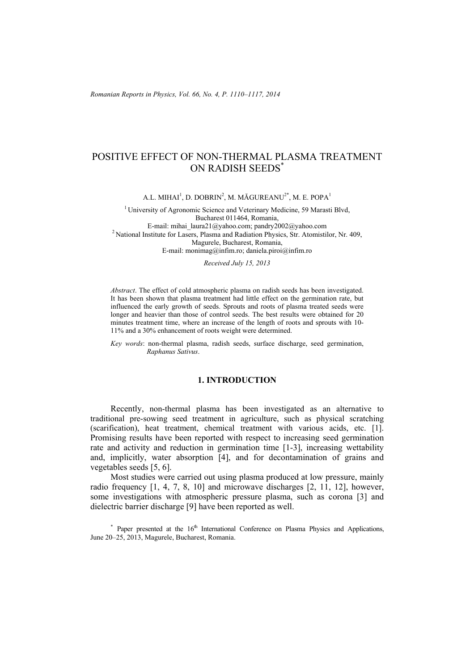*Romanian Reports in Physics, Vol. 66, No. 4, P. 1110–1117, 2014*

# POSITIVE EFFECT OF NON-THERMAL PLASMA TREATMENT ON RADISH SEEDS\*

A.L. MIHAI $^1$ , D. DOBRIN $^2$ , M. MĂGUREANU $^{2*}$ , M. E. POPA $^1$ 

<sup>1</sup> University of Agronomic Science and Veterinary Medicine, 59 Marasti Blvd, Bucharest 011464, Romania,<br>E-mail: mihai laura21@yahoo.com; pandry2002@yahoo.com <sup>2</sup> National Institute for Lasers, Plasma and Radiation Physics, Str. Atomistilor, Nr. 409, Magurele, Bucharest, Romania, E-mail: monimag@infim.ro; daniela.piroi@infim.ro

*Received July 15, 2013* 

*Abstract*. The effect of cold atmospheric plasma on radish seeds has been investigated. It has been shown that plasma treatment had little effect on the germination rate, but influenced the early growth of seeds. Sprouts and roots of plasma treated seeds were longer and heavier than those of control seeds. The best results were obtained for 20 minutes treatment time, where an increase of the length of roots and sprouts with 10- 11% and a 30% enhancement of roots weight were determined.

*Key words*: non-thermal plasma, radish seeds, surface discharge, seed germination, *Raphanus Sativus*.

## **1. INTRODUCTION**

Recently, non-thermal plasma has been investigated as an alternative to traditional pre-sowing seed treatment in agriculture, such as physical scratching (scarification), heat treatment, chemical treatment with various acids, etc. [1]. Promising results have been reported with respect to increasing seed germination rate and activity and reduction in germination time [1-3], increasing wettability and, implicitly, water absorption [4], and for decontamination of grains and vegetables seeds [5, 6].

Most studies were carried out using plasma produced at low pressure, mainly radio frequency [1, 4, 7, 8, 10] and microwave discharges [2, 11, 12], however, some investigations with atmospheric pressure plasma, such as corona [3] and dielectric barrier discharge [9] have been reported as well.

\* Paper presented at the 16<sup>th</sup> International Conference on Plasma Physics and Applications, June 20–25, 2013, Magurele, Bucharest, Romania.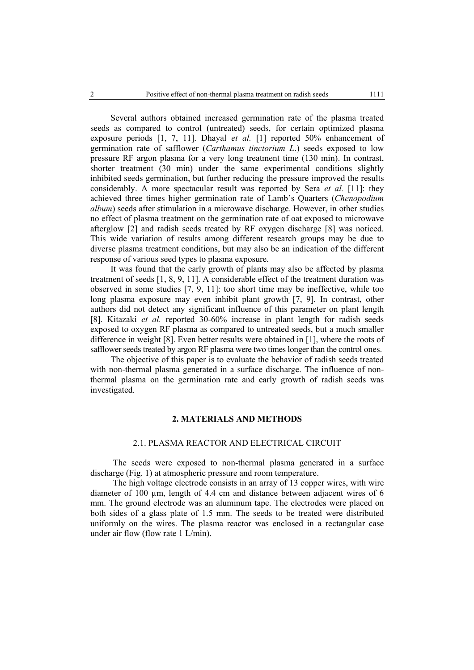Several authors obtained increased germination rate of the plasma treated seeds as compared to control (untreated) seeds, for certain optimized plasma exposure periods [1, 7, 11]. Dhayal *et al.* [1] reported 50% enhancement of germination rate of safflower (*Carthamus tinctorium L*.) seeds exposed to low pressure RF argon plasma for a very long treatment time (130 min). In contrast, shorter treatment (30 min) under the same experimental conditions slightly inhibited seeds germination, but further reducing the pressure improved the results considerably. A more spectacular result was reported by Sera *et al.* [11]: they achieved three times higher germination rate of Lamb's Quarters (*Chenopodium album*) seeds after stimulation in a microwave discharge. However, in other studies no effect of plasma treatment on the germination rate of oat exposed to microwave afterglow [2] and radish seeds treated by RF oxygen discharge [8] was noticed. This wide variation of results among different research groups may be due to diverse plasma treatment conditions, but may also be an indication of the different response of various seed types to plasma exposure.

It was found that the early growth of plants may also be affected by plasma treatment of seeds [1, 8, 9, 11]. A considerable effect of the treatment duration was observed in some studies [7, 9, 11]: too short time may be ineffective, while too long plasma exposure may even inhibit plant growth [7, 9]. In contrast, other authors did not detect any significant influence of this parameter on plant length [8]. Kitazaki *et al.* reported 30-60% increase in plant length for radish seeds exposed to oxygen RF plasma as compared to untreated seeds, but a much smaller difference in weight [8]. Even better results were obtained in [1], where the roots of safflower seeds treated by argon RF plasma were two times longer than the control ones.

The objective of this paper is to evaluate the behavior of radish seeds treated with non-thermal plasma generated in a surface discharge. The influence of nonthermal plasma on the germination rate and early growth of radish seeds was investigated.

### **2. MATERIALS AND METHODS**

## 2.1. PLASMA REACTOR AND ELECTRICAL CIRCUIT

The seeds were exposed to non-thermal plasma generated in a surface discharge (Fig. 1) at atmospheric pressure and room temperature.

The high voltage electrode consists in an array of 13 copper wires, with wire diameter of 100 um, length of 4.4 cm and distance between adjacent wires of 6 mm. The ground electrode was an aluminum tape. The electrodes were placed on both sides of a glass plate of 1.5 mm. The seeds to be treated were distributed uniformly on the wires. The plasma reactor was enclosed in a rectangular case under air flow (flow rate 1 L/min).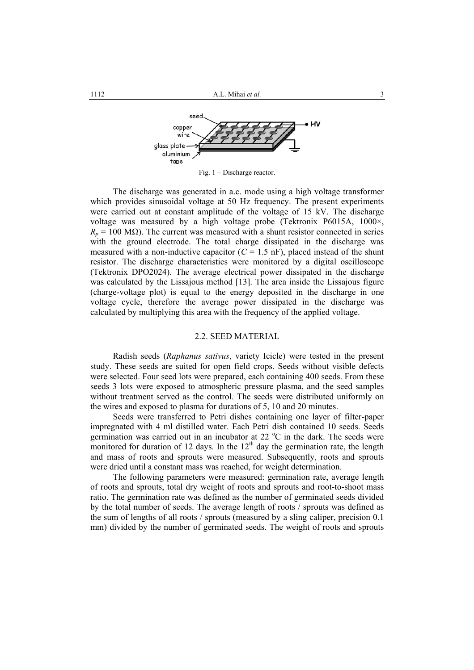

Fig. 1 – Discharge reactor.

The discharge was generated in a.c. mode using a high voltage transformer which provides sinusoidal voltage at 50 Hz frequency. The present experiments were carried out at constant amplitude of the voltage of 15 kV. The discharge voltage was measured by a high voltage probe (Tektronix P6015A, 1000×,  $R_p = 100 \text{ M}\Omega$ ). The current was measured with a shunt resistor connected in series with the ground electrode. The total charge dissipated in the discharge was measured with a non-inductive capacitor  $(C = 1.5 \text{ nF})$ , placed instead of the shunt resistor. The discharge characteristics were monitored by a digital oscilloscope (Tektronix DPO2024). The average electrical power dissipated in the discharge was calculated by the Lissajous method [13]. The area inside the Lissajous figure (charge-voltage plot) is equal to the energy deposited in the discharge in one voltage cycle, therefore the average power dissipated in the discharge was calculated by multiplying this area with the frequency of the applied voltage.

## 2.2. SEED MATERIAL

Radish seeds (*Raphanus sativus*, variety Icicle) were tested in the present study. These seeds are suited for open field crops. Seeds without visible defects were selected. Four seed lots were prepared, each containing 400 seeds. From these seeds 3 lots were exposed to atmospheric pressure plasma, and the seed samples without treatment served as the control. The seeds were distributed uniformly on the wires and exposed to plasma for durations of 5, 10 and 20 minutes.

Seeds were transferred to Petri dishes containing one layer of filter-paper impregnated with 4 ml distilled water. Each Petri dish contained 10 seeds. Seeds germination was carried out in an incubator at 22  $^{\circ}$ C in the dark. The seeds were monitored for duration of 12 days. In the  $12<sup>th</sup>$  day the germination rate, the length and mass of roots and sprouts were measured. Subsequently, roots and sprouts were dried until a constant mass was reached, for weight determination.

The following parameters were measured: germination rate, average length of roots and sprouts, total dry weight of roots and sprouts and root-to-shoot mass ratio. The germination rate was defined as the number of germinated seeds divided by the total number of seeds. The average length of roots / sprouts was defined as the sum of lengths of all roots / sprouts (measured by a sling caliper, precision 0.1 mm) divided by the number of germinated seeds. The weight of roots and sprouts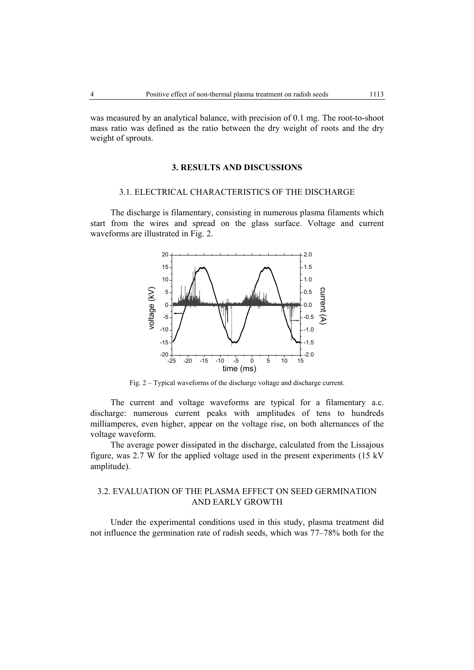was measured by an analytical balance, with precision of 0.1 mg. The root-to-shoot mass ratio was defined as the ratio between the dry weight of roots and the dry weight of sprouts.

#### **3. RESULTS AND DISCUSSIONS**

#### 3.1. ELECTRICAL CHARACTERISTICS OF THE DISCHARGE

The discharge is filamentary, consisting in numerous plasma filaments which start from the wires and spread on the glass surface. Voltage and current waveforms are illustrated in Fig. 2.



Fig. 2 – Typical waveforms of the discharge voltage and discharge current.

The current and voltage waveforms are typical for a filamentary a.c. discharge: numerous current peaks with amplitudes of tens to hundreds milliamperes, even higher, appear on the voltage rise, on both alternances of the voltage waveform.

The average power dissipated in the discharge, calculated from the Lissajous figure, was 2.7 W for the applied voltage used in the present experiments (15 kV amplitude).

## 3.2. EVALUATION OF THE PLASMA EFFECT ON SEED GERMINATION AND EARLY GROWTH

Under the experimental conditions used in this study, plasma treatment did not influence the germination rate of radish seeds, which was 77–78% both for the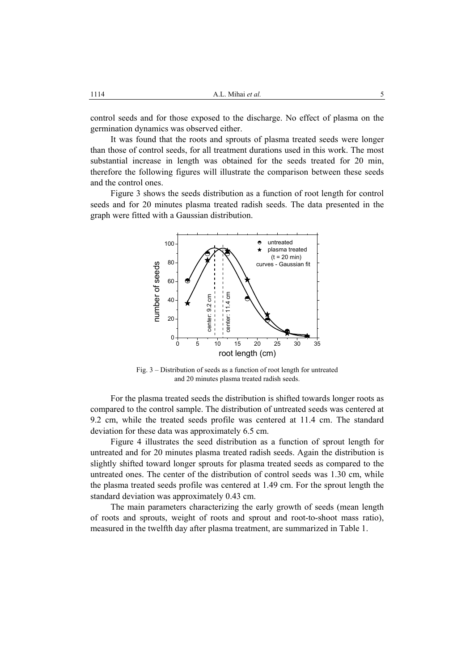control seeds and for those exposed to the discharge. No effect of plasma on the germination dynamics was observed either.

It was found that the roots and sprouts of plasma treated seeds were longer than those of control seeds, for all treatment durations used in this work. The most substantial increase in length was obtained for the seeds treated for 20 min, therefore the following figures will illustrate the comparison between these seeds and the control ones.

Figure 3 shows the seeds distribution as a function of root length for control seeds and for 20 minutes plasma treated radish seeds. The data presented in the graph were fitted with a Gaussian distribution.



Fig. 3 – Distribution of seeds as a function of root length for untreated and 20 minutes plasma treated radish seeds.

For the plasma treated seeds the distribution is shifted towards longer roots as compared to the control sample. The distribution of untreated seeds was centered at 9.2 cm, while the treated seeds profile was centered at 11.4 cm. The standard deviation for these data was approximately 6.5 cm.

Figure 4 illustrates the seed distribution as a function of sprout length for untreated and for 20 minutes plasma treated radish seeds. Again the distribution is slightly shifted toward longer sprouts for plasma treated seeds as compared to the untreated ones. The center of the distribution of control seeds was 1.30 cm, while the plasma treated seeds profile was centered at 1.49 cm. For the sprout length the standard deviation was approximately 0.43 cm.

The main parameters characterizing the early growth of seeds (mean length of roots and sprouts, weight of roots and sprout and root-to-shoot mass ratio), measured in the twelfth day after plasma treatment, are summarized in Table 1.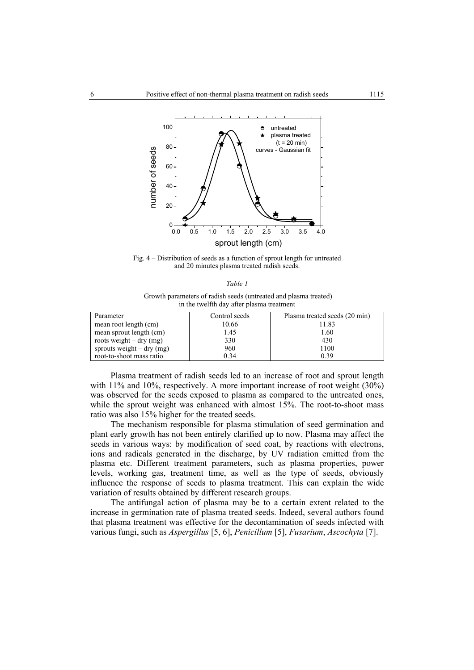

Fig. 4 – Distribution of seeds as a function of sprout length for untreated and 20 minutes plasma treated radish seeds.

| ۰,<br>I |  |  |  |
|---------|--|--|--|
|---------|--|--|--|

 Growth parameters of radish seeds (untreated and plasma treated) in the twelfth day after plasma treatment

| Parameter                         | Control seeds | Plasma treated seeds (20 min) |
|-----------------------------------|---------------|-------------------------------|
| mean root length (cm)             | 10.66         | 11.83                         |
| mean sprout length (cm)           | 1.45          | 1.60                          |
| roots weight $-\mathrm{dry}$ (mg) | 330           | 430                           |
| sprouts weight $-$ dry (mg)       | 960           | 1100                          |
| root-to-shoot mass ratio          | 0.34          | 0.39                          |

Plasma treatment of radish seeds led to an increase of root and sprout length with 11% and 10%, respectively. A more important increase of root weight (30%) was observed for the seeds exposed to plasma as compared to the untreated ones, while the sprout weight was enhanced with almost 15%. The root-to-shoot mass ratio was also 15% higher for the treated seeds.

The mechanism responsible for plasma stimulation of seed germination and plant early growth has not been entirely clarified up to now. Plasma may affect the seeds in various ways: by modification of seed coat, by reactions with electrons, ions and radicals generated in the discharge, by UV radiation emitted from the plasma etc. Different treatment parameters, such as plasma properties, power levels, working gas, treatment time, as well as the type of seeds, obviously influence the response of seeds to plasma treatment. This can explain the wide variation of results obtained by different research groups.

The antifungal action of plasma may be to a certain extent related to the increase in germination rate of plasma treated seeds. Indeed, several authors found that plasma treatment was effective for the decontamination of seeds infected with various fungi, such as *Aspergillus* [5, 6], *Penicillum* [5], *Fusarium*, *Ascochyta* [7].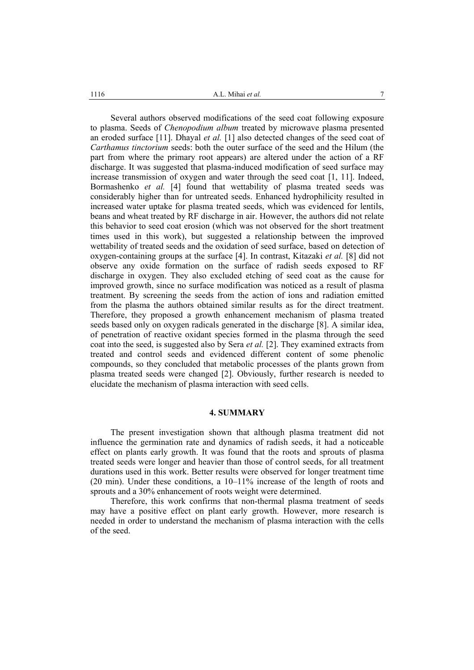1116 **a** *A.L. Mihai et al.* **7** 

Several authors observed modifications of the seed coat following exposure to plasma. Seeds of *Chenopodium album* treated by microwave plasma presented an eroded surface [11]. Dhayal *et al.* [1] also detected changes of the seed coat of *Carthamus tinctorium* seeds: both the outer surface of the seed and the Hilum (the part from where the primary root appears) are altered under the action of a RF discharge. It was suggested that plasma-induced modification of seed surface may increase transmission of oxygen and water through the seed coat [1, 11]. Indeed, Bormashenko *et al.* [4] found that wettability of plasma treated seeds was considerably higher than for untreated seeds. Enhanced hydrophilicity resulted in increased water uptake for plasma treated seeds, which was evidenced for lentils, beans and wheat treated by RF discharge in air. However, the authors did not relate this behavior to seed coat erosion (which was not observed for the short treatment times used in this work), but suggested a relationship between the improved wettability of treated seeds and the oxidation of seed surface, based on detection of oxygen-containing groups at the surface [4]. In contrast, Kitazaki *et al.* [8] did not observe any oxide formation on the surface of radish seeds exposed to RF discharge in oxygen. They also excluded etching of seed coat as the cause for improved growth, since no surface modification was noticed as a result of plasma treatment. By screening the seeds from the action of ions and radiation emitted from the plasma the authors obtained similar results as for the direct treatment. Therefore, they proposed a growth enhancement mechanism of plasma treated seeds based only on oxygen radicals generated in the discharge [8]. A similar idea, of penetration of reactive oxidant species formed in the plasma through the seed coat into the seed, is suggested also by Sera *et al.* [2]. They examined extracts from treated and control seeds and evidenced different content of some phenolic compounds, so they concluded that metabolic processes of the plants grown from plasma treated seeds were changed [2]. Obviously, further research is needed to elucidate the mechanism of plasma interaction with seed cells.

#### **4. SUMMARY**

The present investigation shown that although plasma treatment did not influence the germination rate and dynamics of radish seeds, it had a noticeable effect on plants early growth. It was found that the roots and sprouts of plasma treated seeds were longer and heavier than those of control seeds, for all treatment durations used in this work. Better results were observed for longer treatment time (20 min). Under these conditions, a 10–11% increase of the length of roots and sprouts and a 30% enhancement of roots weight were determined.

Therefore, this work confirms that non-thermal plasma treatment of seeds may have a positive effect on plant early growth. However, more research is needed in order to understand the mechanism of plasma interaction with the cells of the seed.